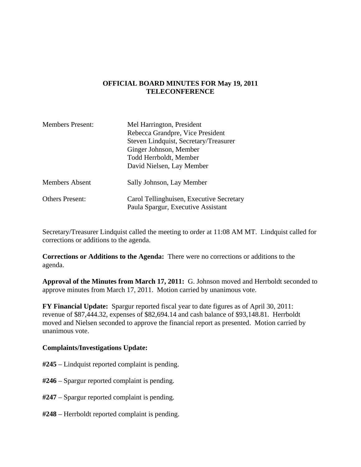## **OFFICIAL BOARD MINUTES FOR May 19, 2011 TELECONFERENCE**

| <b>Members Present:</b> | Mel Harrington, President                |
|-------------------------|------------------------------------------|
|                         | Rebecca Grandpre, Vice President         |
|                         | Steven Lindquist, Secretary/Treasurer    |
|                         | Ginger Johnson, Member                   |
|                         | Todd Herrboldt, Member                   |
|                         | David Nielsen, Lay Member                |
| <b>Members Absent</b>   | Sally Johnson, Lay Member                |
| <b>Others Present:</b>  | Carol Tellinghuisen, Executive Secretary |
|                         | Paula Spargur, Executive Assistant       |

Secretary/Treasurer Lindquist called the meeting to order at 11:08 AM MT. Lindquist called for corrections or additions to the agenda.

**Corrections or Additions to the Agenda:** There were no corrections or additions to the agenda.

**Approval of the Minutes from March 17, 2011:** G. Johnson moved and Herrboldt seconded to approve minutes from March 17, 2011. Motion carried by unanimous vote.

**FY Financial Update:** Spargur reported fiscal year to date figures as of April 30, 2011: revenue of \$87,444.32, expenses of \$82,694.14 and cash balance of \$93,148.81. Herrboldt moved and Nielsen seconded to approve the financial report as presented. Motion carried by unanimous vote.

## **Complaints/Investigations Update:**

- **#245**  Lindquist reported complaint is pending.
- **#246**  Spargur reported complaint is pending.
- **#247** Spargur reported complaint is pending.
- **#248** Herrboldt reported complaint is pending.